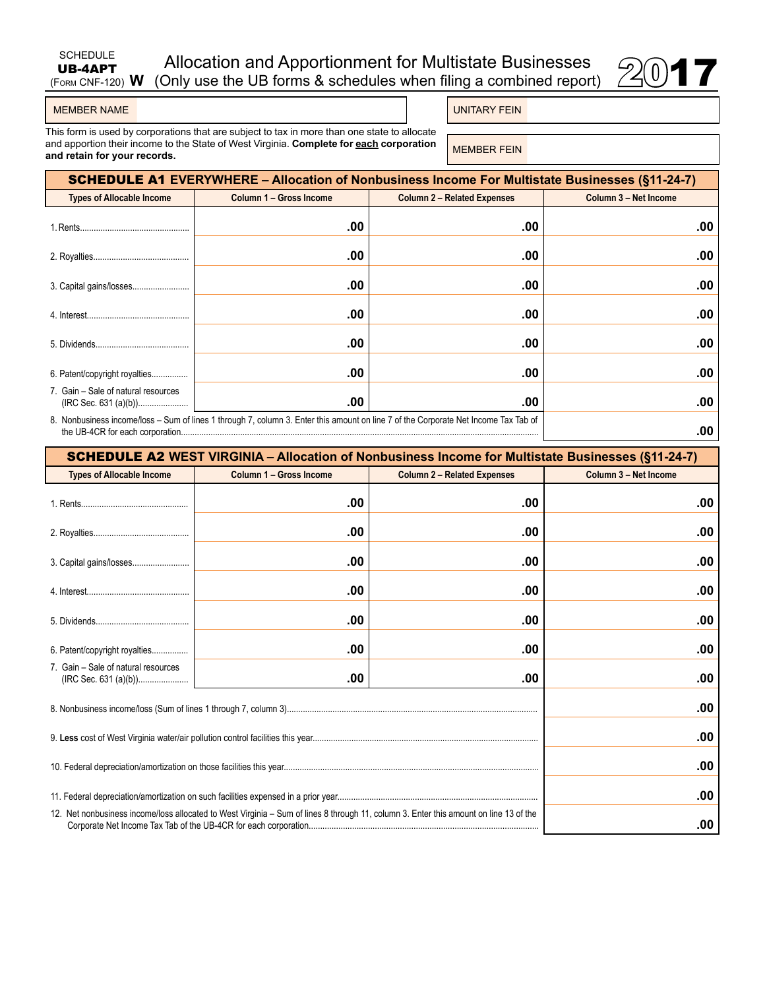| <b>SCHEDULE</b><br>UB-4APT | Allocation and Apportionment for Multistate Businesses                             |      |
|----------------------------|------------------------------------------------------------------------------------|------|
|                            | (FORM CNF-120) W (Only use the UB forms & schedules when filing a combined report) | 2017 |



## MEMBER NAME **UNITARY FEIN**

Schedule UB-4APT

This form is used by corporations that are subject to tax in more than one state to allocate and apportion their income to the State of West Virginia. **Complete for <u>each</u> corporation** MEMBER FEIN **MEMBER FE** 

| <b>SCHEDULE A1 EVERYWHERE – Allocation of Nonbusiness Income For Multistate Businesses (§11-24-7)</b>                                      |                         |                                    |                       |  |
|--------------------------------------------------------------------------------------------------------------------------------------------|-------------------------|------------------------------------|-----------------------|--|
| <b>Types of Allocable Income</b>                                                                                                           | Column 1 - Gross Income | <b>Column 2 - Related Expenses</b> | Column 3 - Net Income |  |
|                                                                                                                                            | .00                     | .00                                | .00                   |  |
|                                                                                                                                            | .00                     | .00                                | .00                   |  |
|                                                                                                                                            | .00                     | .00                                | .00                   |  |
|                                                                                                                                            | .00                     | .00                                | .00                   |  |
|                                                                                                                                            | .00                     | .00                                | .00                   |  |
| 6. Patent/copyright royalties                                                                                                              | .00                     | .00                                | .00                   |  |
| 7. Gain - Sale of natural resources                                                                                                        | .00                     | .00                                | .00                   |  |
| 8. Nonbusiness income/loss - Sum of lines 1 through 7, column 3. Enter this amount on line 7 of the Corporate Net Income Tax Tab of<br>.00 |                         |                                    |                       |  |

| <b>SCHEDULE A2 WEST VIRGINIA - Allocation of Nonbusiness Income for Multistate Businesses (§11-24-7)</b>                              |                         |                                    |                       |  |
|---------------------------------------------------------------------------------------------------------------------------------------|-------------------------|------------------------------------|-----------------------|--|
| <b>Types of Allocable Income</b>                                                                                                      | Column 1 - Gross Income | <b>Column 2 - Related Expenses</b> | Column 3 - Net Income |  |
|                                                                                                                                       | .00                     | .00                                | .00                   |  |
|                                                                                                                                       | .00                     | .00                                | .00                   |  |
|                                                                                                                                       | .00                     | .00                                | .00                   |  |
|                                                                                                                                       | .00                     | .00                                | .00                   |  |
|                                                                                                                                       | .00                     | .00                                | .00                   |  |
| 6. Patent/copyright royalties                                                                                                         | .00                     | .00                                | .00                   |  |
| 7. Gain - Sale of natural resources                                                                                                   | .00                     | .00                                | .00                   |  |
|                                                                                                                                       | .00                     |                                    |                       |  |
|                                                                                                                                       | .00                     |                                    |                       |  |
|                                                                                                                                       |                         |                                    | .00                   |  |
|                                                                                                                                       |                         |                                    | .00                   |  |
| 12. Net nonbusiness income/loss allocated to West Virginia - Sum of lines 8 through 11, column 3. Enter this amount on line 13 of the | .00                     |                                    |                       |  |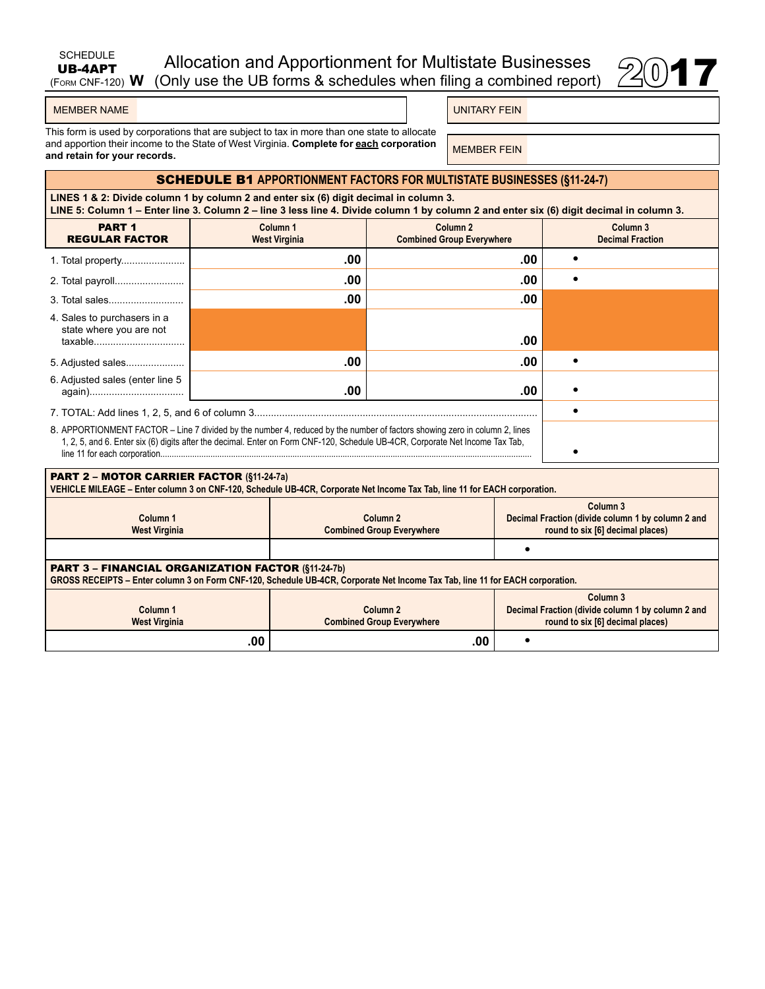| SCHEDULE | Allocation and Apportionment for Multistate Businesses                                |  |
|----------|---------------------------------------------------------------------------------------|--|
|          | <b>UB-4APT</b> Allocation and Apportionment for Multistate Businesses $\mathbb{Z}$ 17 |  |

|--|--|

|  | <b>MEMBER NAME</b> |
|--|--------------------|
|  |                    |

UNITARY FEIN

This form is used by corporations that are subject to tax in more than one state to allocate and apportion their income to the State of West Virginia. **Complete for each corporation**  and apportion their income to the State of West Virginia. Complete for <u>each</u> corporation **MEMBER FEIN**<br>and retain for your records.

## SCHEDULE B1 **APPORTIONMENT FACTORS FOR MULTISTATE BUSINESSES (§11-24-7)**

**LINES 1 & 2: Divide column 1 by column 2 and enter six (6) digit decimal in column 3. LINE 5: Column 1 – Enter line 3. Column 2 – line 3 less line 4. Divide column 1 by column 2 and enter six (6) digit decimal in column 3.**

| <b>PART 1</b><br><b>REGULAR FACTOR</b>                                                                                                                                                                                                                      | Column <sub>1</sub><br><b>West Virginia</b> | Column <sub>2</sub><br><b>Combined Group Everywhere</b> | Column <sub>3</sub><br><b>Decimal Fraction</b> |
|-------------------------------------------------------------------------------------------------------------------------------------------------------------------------------------------------------------------------------------------------------------|---------------------------------------------|---------------------------------------------------------|------------------------------------------------|
|                                                                                                                                                                                                                                                             | .00                                         | .00                                                     |                                                |
|                                                                                                                                                                                                                                                             | .00                                         | .00                                                     |                                                |
|                                                                                                                                                                                                                                                             | .00                                         | .00                                                     |                                                |
| 4. Sales to purchasers in a<br>state where you are not<br>taxable                                                                                                                                                                                           |                                             | .00                                                     |                                                |
| 5. Adjusted sales                                                                                                                                                                                                                                           | .00                                         | .00                                                     |                                                |
| 6. Adjusted sales (enter line 5                                                                                                                                                                                                                             | .00                                         | .00                                                     |                                                |
|                                                                                                                                                                                                                                                             |                                             |                                                         |                                                |
| 8. APPORTIONMENT FACTOR – Line 7 divided by the number 4, reduced by the number of factors showing zero in column 2, lines<br>1, 2, 5, and 6. Enter six (6) digits after the decimal. Enter on Form CNF-120, Schedule UB-4CR, Corporate Net Income Tax Tab, |                                             |                                                         |                                                |

| <b>PART 2 - MOTOR CARRIER FACTOR (§11-24-7a)</b><br>VEHICLE MILEAGE - Enter column 3 on CNF-120, Schedule UB-4CR, Corporate Net Income Tax Tab, line 11 for EACH corporation.              |                                                         |                                                                                                              |  |  |
|--------------------------------------------------------------------------------------------------------------------------------------------------------------------------------------------|---------------------------------------------------------|--------------------------------------------------------------------------------------------------------------|--|--|
| Column <sub>1</sub><br><b>West Virginia</b>                                                                                                                                                | Column <sub>2</sub><br><b>Combined Group Everywhere</b> | Column <sub>3</sub><br>Decimal Fraction (divide column 1 by column 2 and<br>round to six [6] decimal places) |  |  |
|                                                                                                                                                                                            |                                                         |                                                                                                              |  |  |
| <b>PART 3 - FINANCIAL ORGANIZATION FACTOR (§11-24-7b)</b><br>GROSS RECEIPTS - Enter column 3 on Form CNF-120, Schedule UB-4CR, Corporate Net Income Tax Tab, line 11 for EACH corporation. |                                                         |                                                                                                              |  |  |
|                                                                                                                                                                                            |                                                         |                                                                                                              |  |  |
| Column <sub>1</sub><br><b>West Virginia</b>                                                                                                                                                | Column <sub>2</sub><br><b>Combined Group Everywhere</b> | Column <sub>3</sub><br>Decimal Fraction (divide column 1 by column 2 and<br>round to six [6] decimal places) |  |  |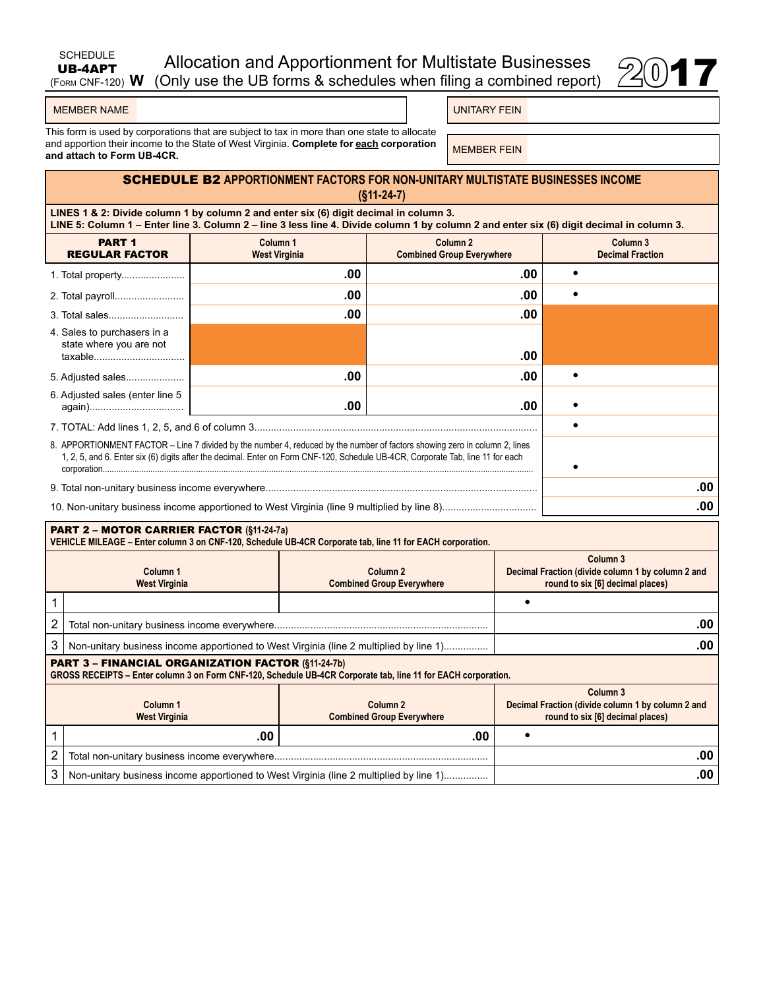| SCHEDULE<br><b>UB-4APT</b> | Allocation and Apportionment for Multistate Businesses                              |      |
|----------------------------|-------------------------------------------------------------------------------------|------|
|                            | $(FAM CNF-120)$ W (Only use the UB forms & schedules when filing a combined report) | 2017 |



UNITARY FEIN

This form is used by corporations that are subject to tax in more than one state to allocate and apportion their income to the State of West Virginia. **Complete for <u>each</u> corporation** MEMBER FEIN **A**nd **a**nd attach to Form UB-4CR.

# SCHEDULE B2 **APPORTIONMENT FACTORS FOR non-unitary MULTISTATE BUSINESSES INCOME (§11-24-7)**

**LINES 1 & 2: Divide column 1 by column 2 and enter six (6) digit decimal in column 3. LINE 5: Column 1 – Enter line 3. Column 2 – line 3 less line 4. Divide column 1 by column 2 and enter six (6) digit decimal in column 3.**

| <b>PART 1</b><br><b>REGULAR FACTOR</b>                            | Column <sub>1</sub><br><b>West Virginia</b>                                                                                                                                                                                                                   | Column <sub>2</sub><br><b>Combined Group Everywhere</b> |  | Column <sub>3</sub><br><b>Decimal Fraction</b> |
|-------------------------------------------------------------------|---------------------------------------------------------------------------------------------------------------------------------------------------------------------------------------------------------------------------------------------------------------|---------------------------------------------------------|--|------------------------------------------------|
|                                                                   | .00                                                                                                                                                                                                                                                           | .00                                                     |  |                                                |
|                                                                   | .00                                                                                                                                                                                                                                                           | .00                                                     |  |                                                |
|                                                                   | .00                                                                                                                                                                                                                                                           | .00                                                     |  |                                                |
| 4. Sales to purchasers in a<br>state where you are not<br>taxable |                                                                                                                                                                                                                                                               | .00                                                     |  |                                                |
| 5. Adjusted sales                                                 | .00                                                                                                                                                                                                                                                           | .00                                                     |  |                                                |
| 6. Adjusted sales (enter line 5                                   | .00                                                                                                                                                                                                                                                           | .00                                                     |  |                                                |
|                                                                   |                                                                                                                                                                                                                                                               |                                                         |  |                                                |
|                                                                   | 8. APPORTIONMENT FACTOR – Line 7 divided by the number 4, reduced by the number of factors showing zero in column 2, lines<br>1, 2, 5, and 6. Enter six (6) digits after the decimal. Enter on Form CNF-120, Schedule UB-4CR, Corporate Tab, line 11 for each |                                                         |  |                                                |
|                                                                   |                                                                                                                                                                                                                                                               |                                                         |  | .00                                            |
|                                                                   |                                                                                                                                                                                                                                                               |                                                         |  | .00                                            |

|                                                                                                        | <b>PART 2 - MOTOR CARRIER FACTOR (§11-24-7a)</b><br>VEHICLE MILEAGE - Enter column 3 on CNF-120, Schedule UB-4CR Corporate tab, line 11 for EACH corporation.              |     |                                                                                                              |  |  |
|--------------------------------------------------------------------------------------------------------|----------------------------------------------------------------------------------------------------------------------------------------------------------------------------|-----|--------------------------------------------------------------------------------------------------------------|--|--|
| Column 1<br>Column <sub>2</sub><br><b>Combined Group Everywhere</b><br><b>West Virginia</b>            |                                                                                                                                                                            |     | Column 3<br>Decimal Fraction (divide column 1 by column 2 and<br>round to six [6] decimal places)            |  |  |
|                                                                                                        |                                                                                                                                                                            |     |                                                                                                              |  |  |
| 2                                                                                                      |                                                                                                                                                                            |     | .00                                                                                                          |  |  |
| 3<br>Non-unitary business income apportioned to West Virginia (line 2 multiplied by line 1)            |                                                                                                                                                                            |     | .00                                                                                                          |  |  |
|                                                                                                        | <b>PART 3 - FINANCIAL ORGANIZATION FACTOR (§11-24-7b)</b><br>GROSS RECEIPTS - Enter column 3 on Form CNF-120, Schedule UB-4CR Corporate tab, line 11 for EACH corporation. |     |                                                                                                              |  |  |
| Column <sub>1</sub><br>Column <sub>2</sub><br><b>West Virginia</b><br><b>Combined Group Everywhere</b> |                                                                                                                                                                            |     | Column <sub>3</sub><br>Decimal Fraction (divide column 1 by column 2 and<br>round to six [6] decimal places) |  |  |
|                                                                                                        | .00                                                                                                                                                                        | .00 | ٠                                                                                                            |  |  |
| 2                                                                                                      |                                                                                                                                                                            |     | .00                                                                                                          |  |  |
| 3<br>Non-unitary business income apportioned to West Virginia (line 2 multiplied by line 1)            |                                                                                                                                                                            |     | .00                                                                                                          |  |  |